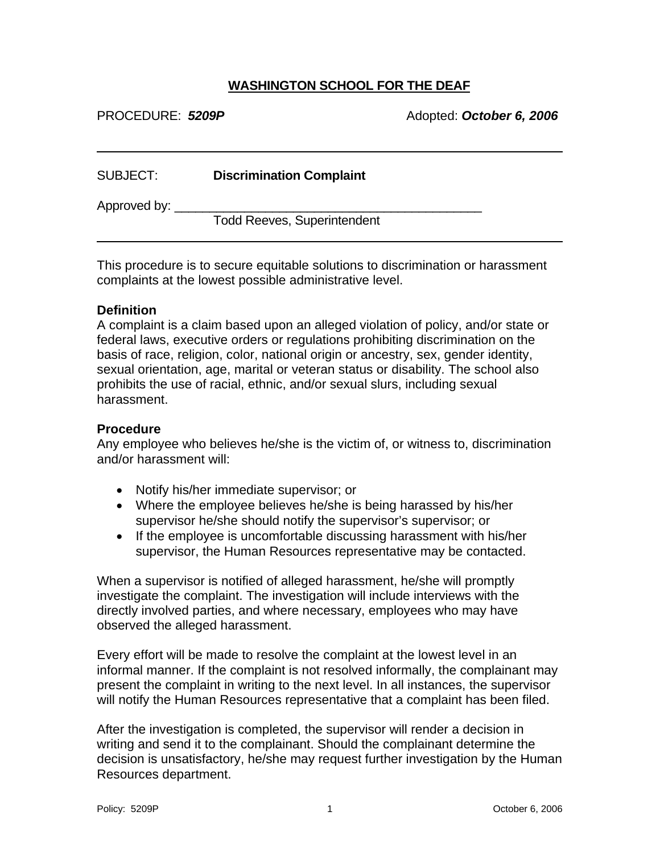## **WASHINGTON SCHOOL FOR THE DEAF**

PROCEDURE: 5209P Adopted: October 6, 2006

| SUBJECT:     | <b>Discrimination Complaint</b>    |  |
|--------------|------------------------------------|--|
| Approved by: |                                    |  |
|              | <b>Todd Reeves, Superintendent</b> |  |

This procedure is to secure equitable solutions to discrimination or harassment complaints at the lowest possible administrative level.

## **Definition**

 $\overline{a}$ 

 $\overline{a}$ 

A complaint is a claim based upon an alleged violation of policy, and/or state or federal laws, executive orders or regulations prohibiting discrimination on the basis of race, religion, color, national origin or ancestry, sex, gender identity, sexual orientation, age, marital or veteran status or disability. The school also prohibits the use of racial, ethnic, and/or sexual slurs, including sexual harassment.

## **Procedure**

Any employee who believes he/she is the victim of, or witness to, discrimination and/or harassment will:

- Notify his/her immediate supervisor; or
- Where the employee believes he/she is being harassed by his/her supervisor he/she should notify the supervisor's supervisor; or
- If the employee is uncomfortable discussing harassment with his/her supervisor, the Human Resources representative may be contacted.

When a supervisor is notified of alleged harassment, he/she will promptly investigate the complaint. The investigation will include interviews with the directly involved parties, and where necessary, employees who may have observed the alleged harassment.

Every effort will be made to resolve the complaint at the lowest level in an informal manner. If the complaint is not resolved informally, the complainant may present the complaint in writing to the next level. In all instances, the supervisor will notify the Human Resources representative that a complaint has been filed.

After the investigation is completed, the supervisor will render a decision in writing and send it to the complainant. Should the complainant determine the decision is unsatisfactory, he/she may request further investigation by the Human Resources department.